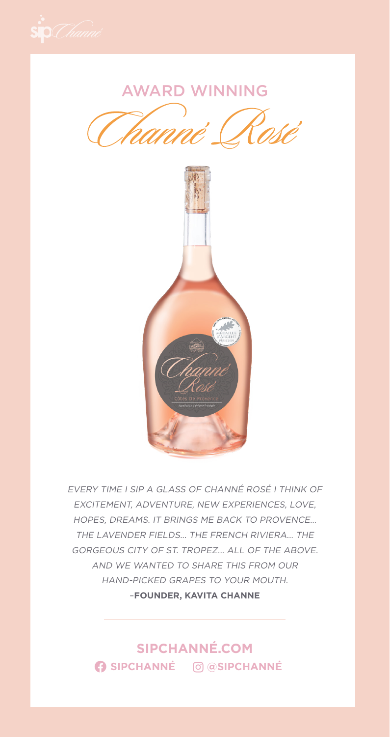

# AWARD WINNING

hanné



EVERY TIME I SIP A GLASS OF CHANNÉ ROSÉ I THINK OF EXCITEMENT, ADVENTURE, NEW EXPERIENCES, LOVE, HOPES, DREAMS. IT BRINGS ME BACK TO PROVENCE... THE LAVENDER FIELDS... THE FRENCH RIVIERA... THE GORGEOUS CITY OF ST. TROPEZ... ALL OF THE ABOVE. AND WE WANTED TO SHARE THIS FROM OUR HAND-PICKED GRAPES TO YOUR MOUTH. –**FOUNDER, KAVITA CHANNE**

# **SIPCHANNÉ.COM SIPCHANNÉ @SIPCHANNÉ**